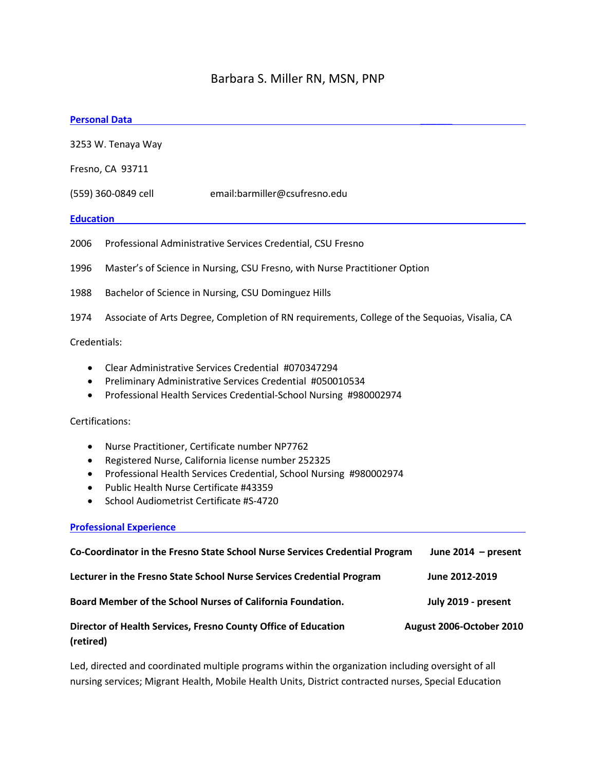# Barbara S. Miller RN, MSN, PNP

#### **Personal Data** \_\_\_\_\_\_

3253 W. Tenaya Way Fresno, CA 93711 (559) 360-0849 cell email:barmiller@csufresno.edu **Education**\_\_\_\_\_\_\_\_\_\_\_\_\_\_\_\_\_\_\_\_\_\_\_\_\_\_\_\_\_\_\_\_\_\_\_\_\_\_\_\_\_\_\_\_\_\_\_\_\_\_\_\_\_\_\_\_\_\_\_\_\_\_\_ 2006 Professional Administrative Services Credential, CSU Fresno 1996 Master's of Science in Nursing, CSU Fresno, with Nurse Practitioner Option 1988 Bachelor of Science in Nursing, CSU Dominguez Hills 1974 Associate of Arts Degree, Completion of RN requirements, College of the Sequoias, Visalia, CA Credentials: • Clear Administrative Services Credential #070347294 • Preliminary Administrative Services Credential #050010534 • Professional Health Services Credential-School Nursing #980002974

Certifications:

- Nurse Practitioner, Certificate number NP7762
- Registered Nurse, California license number 252325
- Professional Health Services Credential, School Nursing #980002974
- Public Health Nurse Certificate #43359
- School Audiometrist Certificate #S-4720

#### **Professional Experience**

| Co-Coordinator in the Fresno State School Nurse Services Credential Program | June $2014$ – present    |
|-----------------------------------------------------------------------------|--------------------------|
| Lecturer in the Fresno State School Nurse Services Credential Program       | June 2012-2019           |
| Board Member of the School Nurses of California Foundation.                 | July 2019 - present      |
| Director of Health Services, Fresno County Office of Education<br>(retired) | August 2006-October 2010 |

Led, directed and coordinated multiple programs within the organization including oversight of all nursing services; Migrant Health, Mobile Health Units, District contracted nurses, Special Education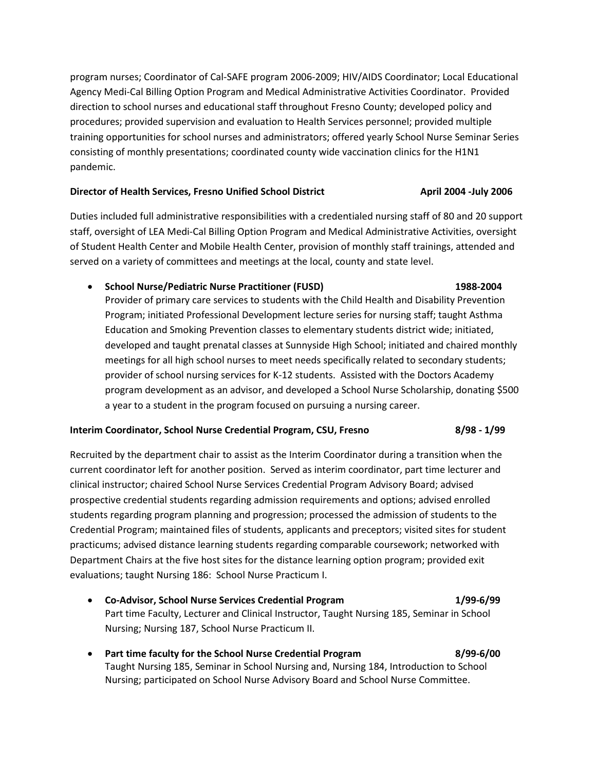program nurses; Coordinator of Cal-SAFE program 2006-2009; HIV/AIDS Coordinator; Local Educational Agency Medi-Cal Billing Option Program and Medical Administrative Activities Coordinator. Provided direction to school nurses and educational staff throughout Fresno County; developed policy and procedures; provided supervision and evaluation to Health Services personnel; provided multiple training opportunities for school nurses and administrators; offered yearly School Nurse Seminar Series consisting of monthly presentations; coordinated county wide vaccination clinics for the H1N1 pandemic.

# **Director of Health Services, Fresno Unified School District <b>Acker Act April 2004** -July 2006

Duties included full administrative responsibilities with a credentialed nursing staff of 80 and 20 support staff, oversight of LEA Medi-Cal Billing Option Program and Medical Administrative Activities, oversight of Student Health Center and Mobile Health Center, provision of monthly staff trainings, attended and served on a variety of committees and meetings at the local, county and state level.

# • **School Nurse/Pediatric Nurse Practitioner (FUSD) 1988-2004**

Provider of primary care services to students with the Child Health and Disability Prevention Program; initiated Professional Development lecture series for nursing staff; taught Asthma Education and Smoking Prevention classes to elementary students district wide; initiated, developed and taught prenatal classes at Sunnyside High School; initiated and chaired monthly meetings for all high school nurses to meet needs specifically related to secondary students; provider of school nursing services for K-12 students. Assisted with the Doctors Academy program development as an advisor, and developed a School Nurse Scholarship, donating \$500 a year to a student in the program focused on pursuing a nursing career.

# **Interim Coordinator, School Nurse Credential Program, CSU, Fresno 8/98 - 1/99**

Recruited by the department chair to assist as the Interim Coordinator during a transition when the current coordinator left for another position. Served as interim coordinator, part time lecturer and clinical instructor; chaired School Nurse Services Credential Program Advisory Board; advised prospective credential students regarding admission requirements and options; advised enrolled students regarding program planning and progression; processed the admission of students to the Credential Program; maintained files of students, applicants and preceptors; visited sites for student practicums; advised distance learning students regarding comparable coursework; networked with Department Chairs at the five host sites for the distance learning option program; provided exit evaluations; taught Nursing 186: School Nurse Practicum I.

- **Co-Advisor, School Nurse Services Credential Program 1/99-6/99** Part time Faculty, Lecturer and Clinical Instructor, Taught Nursing 185, Seminar in School Nursing; Nursing 187, School Nurse Practicum II.
- **Part time faculty for the School Nurse Credential Program 8/99-6/00** Taught Nursing 185, Seminar in School Nursing and, Nursing 184, Introduction to School Nursing; participated on School Nurse Advisory Board and School Nurse Committee.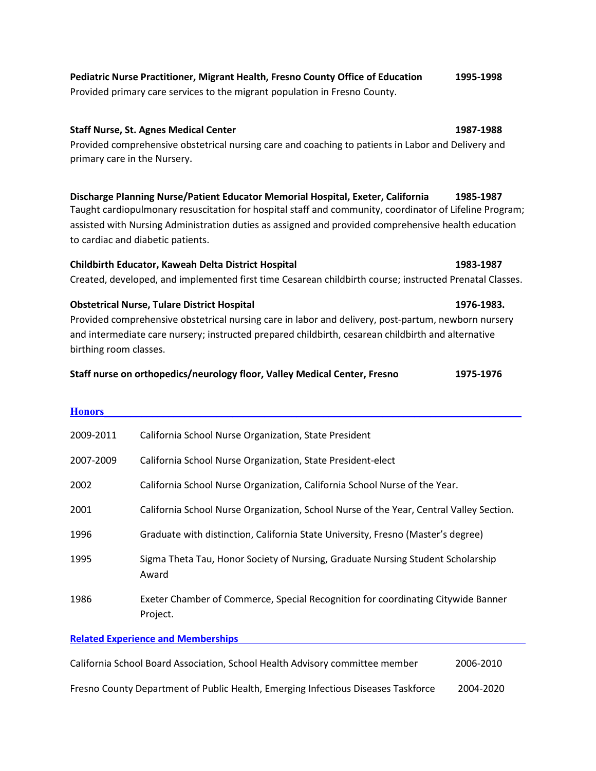| Pediatric Nurse Practitioner, Migrant Health, Fresno County Office of Education | 1995-1998 |
|---------------------------------------------------------------------------------|-----------|
| Provided primary care services to the migrant population in Fresno County.      |           |

#### **Staff Nurse, St. Agnes Medical Center 1987-1988**

Provided comprehensive obstetrical nursing care and coaching to patients in Labor and Delivery and primary care in the Nursery.

#### **Discharge Planning Nurse/Patient Educator Memorial Hospital, Exeter, California 1985-1987** Taught cardiopulmonary resuscitation for hospital staff and community, coordinator of Lifeline Program;

assisted with Nursing Administration duties as assigned and provided comprehensive health education to cardiac and diabetic patients.

# **Childbirth Educator, Kaweah Delta District Hospital 1983-1987**

Created, developed, and implemented first time Cesarean childbirth course; instructed Prenatal Classes.

# **Obstetrical Nurse, Tulare District Hospital 1976-1983.**

Provided comprehensive obstetrical nursing care in labor and delivery, post-partum, newborn nursery and intermediate care nursery; instructed prepared childbirth, cesarean childbirth and alternative birthing room classes.

#### **Staff nurse on orthopedics/neurology floor, Valley Medical Center, Fresno 1975-1976**

| <b>Honors</b> |                                                                                              |
|---------------|----------------------------------------------------------------------------------------------|
| 2009-2011     | California School Nurse Organization, State President                                        |
| 2007-2009     | California School Nurse Organization, State President-elect                                  |
| 2002          | California School Nurse Organization, California School Nurse of the Year.                   |
| 2001          | California School Nurse Organization, School Nurse of the Year, Central Valley Section.      |
| 1996          | Graduate with distinction, California State University, Fresno (Master's degree)             |
| 1995          | Sigma Theta Tau, Honor Society of Nursing, Graduate Nursing Student Scholarship<br>Award     |
| 1986          | Exeter Chamber of Commerce, Special Recognition for coordinating Citywide Banner<br>Project. |

# **Related Experience and Memberships**

| California School Board Association, School Health Advisory committee member      | 2006-2010 |
|-----------------------------------------------------------------------------------|-----------|
| Fresno County Department of Public Health, Emerging Infectious Diseases Taskforce | 2004-2020 |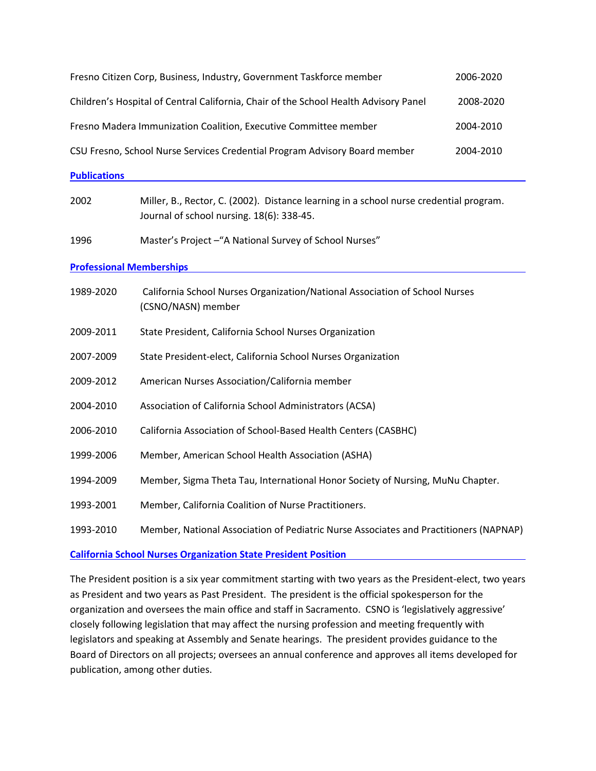|                                                                                         | Fresno Citizen Corp, Business, Industry, Government Taskforce member                                                                | 2006-2020 |  |  |
|-----------------------------------------------------------------------------------------|-------------------------------------------------------------------------------------------------------------------------------------|-----------|--|--|
|                                                                                         | Children's Hospital of Central California, Chair of the School Health Advisory Panel                                                | 2008-2020 |  |  |
|                                                                                         | Fresno Madera Immunization Coalition, Executive Committee member                                                                    | 2004-2010 |  |  |
| CSU Fresno, School Nurse Services Credential Program Advisory Board member<br>2004-2010 |                                                                                                                                     |           |  |  |
| <b>Publications</b>                                                                     |                                                                                                                                     |           |  |  |
| 2002                                                                                    | Miller, B., Rector, C. (2002). Distance learning in a school nurse credential program.<br>Journal of school nursing. 18(6): 338-45. |           |  |  |
| 1996                                                                                    | Master's Project - "A National Survey of School Nurses"                                                                             |           |  |  |
| <b>Professional Memberships</b>                                                         |                                                                                                                                     |           |  |  |
| 1989-2020                                                                               | California School Nurses Organization/National Association of School Nurses<br>(CSNO/NASN) member                                   |           |  |  |
| 2009-2011                                                                               | State President, California School Nurses Organization                                                                              |           |  |  |
| 2007-2009                                                                               | State President-elect, California School Nurses Organization                                                                        |           |  |  |
| 2009-2012                                                                               | American Nurses Association/California member                                                                                       |           |  |  |
| 2004-2010                                                                               | Association of California School Administrators (ACSA)                                                                              |           |  |  |
| 2006-2010                                                                               | California Association of School-Based Health Centers (CASBHC)                                                                      |           |  |  |
| 1999-2006                                                                               | Member, American School Health Association (ASHA)                                                                                   |           |  |  |
| 1994-2009                                                                               | Member, Sigma Theta Tau, International Honor Society of Nursing, MuNu Chapter.                                                      |           |  |  |
| 1993-2001                                                                               | Member, California Coalition of Nurse Practitioners.                                                                                |           |  |  |
| 1993-2010                                                                               | Member, National Association of Pediatric Nurse Associates and Practitioners (NAPNAP)                                               |           |  |  |

**California School Nurses Organization State President Position**

The President position is a six year commitment starting with two years as the President-elect, two years as President and two years as Past President. The president is the official spokesperson for the organization and oversees the main office and staff in Sacramento. CSNO is 'legislatively aggressive' closely following legislation that may affect the nursing profession and meeting frequently with legislators and speaking at Assembly and Senate hearings. The president provides guidance to the Board of Directors on all projects; oversees an annual conference and approves all items developed for publication, among other duties.